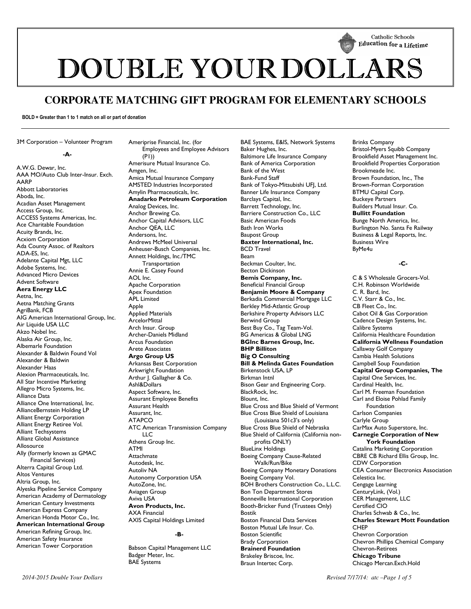

DOUBLE YOUR DOLLARS

# **CORPORATE MATCHING GIFT PROGRAM FOR ELEMENTARY SCHOOLS**

**BOLD = Greater than 1 to 1 match on all or part of donation** 

3M Corporation – Volunteer Program

#### **-A-**

A.W.G. Dewar, Inc. AAA MO/Auto Club Inter-Insur. Exch. AARP Abbott Laboratories Aboda, Inc. Acadian Asset Management Access Group, Inc. ACCESS Systems Americas, Inc. Ace Charitable Foundation Acuity Brands, Inc. Acxiom Corporation Ada County Assoc. of Realtors ADA-ES, Inc. Adelante Capital Mgt, LLC Adobe Systems, Inc. Advanced Micro Devices Advent Software **Aera Energy LLC**  Aetna, Inc. Aetna Matching Grants AgriBank, FCB AIG American International Group, Inc. Air Liquide USA LLC Akzo Nobel Inc. Alaska Air Group, Inc. Albemarle Foundation Alexander & Baldwin Found Vol Alexander & Baldwin Alexander Haas Alexion Pharmaceuticals, Inc. All Star Incentive Marketing Allegro Micro Systems, Inc. Alliance Data Alliance One International, Inc. AllianceBernstein Holding LP Alliant Energy Corporation Alliant Energy Retiree Vol. Alliant Techsystems Allianz Global Assistance Allosource Ally (formerly known as GMAC Financial Services) Alterra Capital Group Ltd. Altos Ventures Altria Group, Inc. Alyeska Pipeline Service Company American Academy of Dermatology American Century Investments American Express Company American Honda Motor Co., Inc. **American International Group**  American Refining Group, Inc. American Safety Insurance American Tower Corporation

Ameriprise Financial, Inc. (for Employees and Employee Advisors (P1)) Amerisure Mutual Insurance Co. Amgen, Inc. Amica Mutual Insurance Company AMSTED Industries Incorporated Amylin Pharmaceuticals, Inc. **Anadarko Petroleum Corporation** Analog Devices, Inc. Anchor Brewing Co. Anchor Capital Advisors, LLC Anchor QEA, LLC Andersons, Inc. Andrews McMeel Universal Anheuser-Busch Companies, Inc. Annett Holdings, Inc./TMC **Transportation** Annie E. Casey Found AOL Inc. Apache Corporation Apex Foundation APL Limited Apple Applied Materials ArcelorMittal Arch Insur. Group Archer-Daniels Midland Arcus Foundation Arete Associates **Argo Group US**  Arkansas Best Corporation Arkwright Foundation Arthur J. Gallagher & Co. Ashl&Dollars Aspect Software, Inc. Assurant Employee Benefits Assurant Health Assurant, Inc. ATAPCO ATC American Transmission Company LLC Athens Group Inc. ATMI Attachmate Autodesk, Inc. Autoliv NA Autonomy Corporation USA AutoZone, Inc. Aviagen Group Aviva USA **Avon Products, Inc.**  AXA Financial AXIS Capital Holdings Limited **-B-**

Babson Capital Management LLC Badger Meter, Inc. BAE Systems

BAE Systems, E&IS, Network Systems Baker Hughes, Inc. Baltimore Life Insurance Company Bank of America Corporation Bank of the West Bank-Fund Staff Bank of Tokyo-Mitsubishi UFJ, Ltd. Banner Life Insurance Company Barclays Capital, Inc. Barrett Technology, Inc. Barriere Construction Co., LLC Basic American Foods Bath Iron Works Baupost Group **Baxter International, Inc.**  BCD Travel Beam Beckman Coulter, Inc. Becton Dickinson **Bemis Company, Inc.**  Beneficial Financial Group **Benjamin Moore & Company**  Berkadia Commercial Mortgage LLC Berkley Mid-Atlantic Group Berkshire Property Advisors LLC Berwind Group Best Buy Co., Tag Team-Vol. BG Americas & Global LNG **BGInc Barnes Group, Inc. BHP Billiton Big O Consulting Bill & Melinda Gates Foundation**  Birkenstock USA, LP Birkman Intnl Bison Gear and Engineering Corp. BlackRock, Inc. Blount, Inc. Blue Cross and Blue Shield of Vermont Blue Cross Blue Shield of Louisiana (Louisiana 501c3's only) Blue Cross Blue Shield of Nebraska Blue Shield of California (California nonprofits ONLY) BlueLinx Holdings Boeing Company Cause-Related Walk/Run/Bike Boeing Company Monetary Donations Boeing Company Vol. BOH Brothers Construction Co., L.L.C. Bon Ton Department Stores Bonneville International Corporation Booth-Bricker Fund (Trustees Only) Bostik Boston Financial Data Services Boston Mutual Life Insur. Co. Boston Scientific Brady Corporation **Brainerd Foundation**  Brakeley Briscoe, Inc. Braun Intertec Corp.

Brinks Company Bristol-Myers Squibb Company Brookfield Asset Management Inc. Brookfield Properties Corporation Brookmeade Inc. Brown Foundation, Inc., The Brown-Forman Corporation BTMU Capital Corp. Buckeye Partners Builders Mutual Insur. Co. **Bullitt Foundation**  Bunge North America, Inc. Burlington No. Santa Fe Railway Business & Legal Reports, Inc. Business Wire ByMe4u

# **-C-**

C & S Wholesale Grocers-Vol. C.H. Robinson Worldwide C. R. Bard, Inc. C.V. Starr & Co., Inc. CB Fleet Co., Inc. Cabot Oil & Gas Corporation Cadence Design Systems, Inc. Calibre Systems California Healthcare Foundation **California Wellness Foundation**  Callaway Golf Company Cambia Health Solutions Campbell Soup Foundation **Capital Group Companies, The**  Capital One Services, Inc. Cardinal Health, Inc. Carl M. Freeman Foundation Carl and Eloise Pohlad Family Foundation Carlson Companies Carlyle Group CarMax Auto Superstore, Inc. **Carnegie Corporation of New York Foundation**  Catalina Marketing Corporation CBRE CB Richard Ellis Group, Inc. CDW Corporation CEA Consumer Electronics Association Celestica Inc. Cengage Learning CenturyLink, (Vol.) CER Management, LLC Certified CIO Charles Schwab & Co., Inc. **Charles Stewart Mott Foundation**  CHEP Chevron Corporation Chevron Phillips Chemical Company Chevron-Retirees **Chicago Tribune** Chicago Mercan.Exch.Hold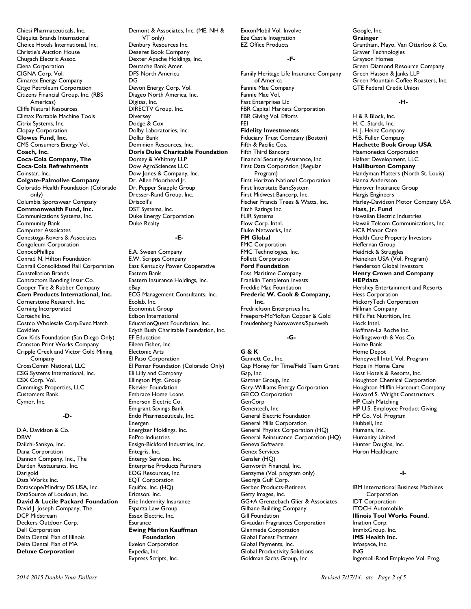Chiesi Pharmaceuticals, Inc. Chiquita Brands International Choice Hotels International, Inc. Christie's Auction House Chugach Electric Assoc. Ciena Corporation CIGNA Corp. Vol. Cimarex Energy Company Citgo Petroleum Corporation Citizens Financial Group, Inc. (RBS Americas) Cliffs Natural Resources Climax Portable Machine Tools Citrix Systems, Inc. Clopay Corporation **Clowes Fund, Inc.**  CMS Consumers Energy Vol. **Coach, Inc. Coca-Cola Company, The Coca-Cola Refreshments**  Coinstar, Inc. **Colgate-Palmolive Company**  Colorado Health Foundation (Colorado only) Columbia Sportswear Company **Commonwealth Fund, Inc.**  Communications Systems, Inc. Community Bank Computer Assoicates Conestoga-Rovers & Associates Congoleum Corporation ConocoPhillips Conrad N. Hilton Foundation Conrail Consolidated Rail Corporation Constellation Brands Contractors Bonding Insur.Co. Cooper Tire & Rubber Company **Corn Products International, Inc.**  Cornerstone Research, Inc. Corning Incorporated Cortechs Inc. Costco Wholesale Corp.Exec.Match Covidien Cox Kids Foundation (San Diego Only) Cranston Print Works Company Cripple Creek and Victor Gold Mining Company CrossComm National, LLC CSG Systems International, Inc. CSX Corp. Vol. Cummings Properties, LLC Customers Bank Cymer, Inc.

## **-D-**

D.A. Davidson & Co. DBW Daiichi-Sankyo, Inc. Dana Corporation Dannon Company, Inc., The Darden Restaurants, Inc. Darigold Data Works Inc. Datascope/Mindray DS USA, Inc. DataSource of Loudoun, Inc. **David & Lucile Packard Foundation**  David J. Joseph Company, The DCP Midstream Deckers Outdoor Corp. Dell Corporation Delta Dental Plan of Illinois Delta Dental Plan of MA **Deluxe Corporation** 

Demont & Associates, Inc. (ME, NH & VT only) Denbury Resources Inc. Deseret Book Company Dexter Apache Holdings, Inc. Deutsche Bank Amer. DFS North America DG Devon Energy Corp. Vol. Diageo North America, Inc. Digitas, Inc. DIRECTV Group, Inc. Diversey Dodge & Cox Dolby Laboratories, Inc. Dollar Bank Dominion Resources, Inc. **Doris Duke Charitable Foundation**  Dorsey & Whitney LLP Dow AgroSciences LLC Dow Jones & Company, Inc. Dr. Allen Moorhead Jr. Dr. Pepper Snapple Group Dresser-Rand Group, Inc. Driscoll's DST Systems, Inc. Duke Energy Corporation Duke Realty

## **-E-**

E.A. Sween Company E.W. Scripps Company East Kentucky Power Cooperative Eastern Bank Eastern Insurance Holdings, Inc. eBay ECG Management Consultants, Inc. Ecolab, Inc. Economist Group Edison International EducationQuest Foundation, Inc. Edyth Bush Charitable Foundation, Inc. EF Education Eileen Fisher, Inc. Electonic Arts El Paso Corporation El Pomar Foundation (Colorado Only) Eli Lilly and Company Ellington Mgt. Group Elsevier Foundation Embrace Home Loans Emerson Electric Co. Emigrant Savings Bank Endo Pharmaceuticals, Inc. Energen Energizer Holdings, Inc. EnPro Industries Ensign-Bickford Industries, Inc. Entegris, Inc. Entergy Services, Inc. Enterprise Products Partners EOG Resources, Inc. EQT Corporation Equifax, Inc. (HQ) Ericsson, Inc. Erie Indemnity Insurance Esparza Law Group Essex Electric, Inc. Esurance **Ewing Marion Kauffman Foundation**  Exelon Corporation Expedia, Inc. Express Scripts, Inc.

ExxonMobil Vol. Involve Eze Castle Integration EZ Office Products

# **-F-**

Family Heritage Life Insurance Company of America Fannie Mae Company Fannie Mae Vol. Fast Enterprises Llc FBR Capital Markets Corporation FBR Giving Vol. Efforts FEI **Fidelity Investments**  Fiduciary Trust Company (Boston) Fifth & Pacific Cos. Fifth Third Bancorp Financial Security Assurance, Inc. First Data Corporation (Regular Program) First Horizon National Corporation First Interstate BancSystem<sup>1</sup> First Midwest Bancorp, Inc. Fischer Francis Trees & Watts, Inc. Fitch Ratings Inc. FLIR Systems Flow Corp. Intnl. Fluke Networks, Inc. **FM Global**  FMC Corporation FMC Technologies, Inc. Follett Corporation **Ford Foundation**  Foss Maritime Company Franklin Templeton Invests Freddie Mac Foundation **Frederic W. Cook & Company, Inc.**  Fredrickson Enterprises Inc. Freeport-McMoRan Copper & Gold Freudenberg Nonwovens/Spunweb

# **-G-**

**G & K**  Gannett Co., Inc. Gap Money for Time/Field Team Grant Gap, Inc. Gartner Group, Inc. Gary-Williams Energy Corporation GEICO Corporation **GenCorp** Genentech, Inc. General Electric Foundation General Mills Corporation General Physics Corporation (HQ) General Reinsurance Corporation (HQ) Geneva Software Genex Services Gensler (HQ) Genworth Financial, Inc. Genzyme (Vol. program only) Georgia Gulf Corp. Gerber Products-Retirees Getty Images, Inc. GG+A Grenzebach Glier & Associates Gilbane Building Company Gill Foundation Givaudan Fragrances Corporation Glenmede Corporation Global Forest Partners Global Payments, Inc. Global Productivity Solutions Goldman Sachs Group, Inc.

Google, Inc. **Grainger**  Grantham, Mayo, Van Otterloo & Co. Graver Technologies Grayson Homes Green Diamond Resource Company Green Hasson & Janks LLP Green Mountain Coffee Roasters, Inc. GTE Federal Credit Union

## **-H-**

H & R Block, Inc. H. C. Starck, Inc. H. J. Heinz Company H.B. Fuller Company **Hachette Book Group USA**  Haemonetics Corporation Hafner Development, LLC **Halliburton Company**  Handyman Matters (North St. Louis) Hanna Andersson Hanover Insurance Group Hargis Engineers Harley-Davidson Motor Company USA **Hass, Jr. Fund**  Hawaiian Electric Industries Hawaii Telcom Communications, Inc. HCR Manor Care Health Care Property Investors Heffernan Group Heidrick & Struggles Heineken USA (Vol. Program) Henderson Global Investors **Henry Crown and Company HEPdata**  Hershey Entertainment and Resorts Hess Corporation HickoryTech Corporation Hillman Company Hill's Pet Nutrition, Inc. Hock Intnl. Hoffman-La Roche Inc. Hollingsworth & Vos Co. Home Bank Home Depot Honeywell Intnl. Vol. Program Hope in Home Care Host Hotels & Resorts, Inc. Houghton Chemical Corporation Houghton Mifflin Harcourt Company Howard S. Wright Constructors HP Cash Matching HP U.S. Employee Product Giving HP Co. Vol. Program Hubbell, Inc. Humana, Inc. Humanity United Hunter Douglas, Inc. Huron Healthcare

## **-I-**

IBM International Business Machines Corporation IDT Corporation ITOCH Automobile **Illinois Tool Works Found.**  Imation Corp. ImmixGroup, Inc. **IMS Health Inc.**  Infospace, Inc. ING Ingersoll-Rand Employee Vol. Prog.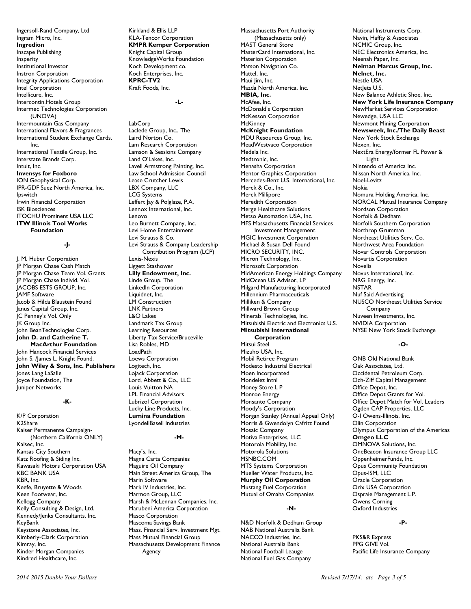Ingersoll-Rand Company, Ltd Ingram Micro, Inc. **Ingredion**  Inscape Publishing Insperity Institutional Investor Instron Corporation Integrity Applications Corporation Intel Corporation Intellicure, Inc. Intercontin.Hotels Group Intermec Technologies Corporation (UNOVA) Intermountain Gas Company International Flavors & Fragrances International Student Exchange Cards, Inc. International Textile Group, Inc. Interstate Brands Corp. Intuit, Inc. **Invensys for Foxboro**  ION Geophysical Corp. IPR-GDF Suez North America, Inc. Ipswitch Irwin Financial Corporation ISK Biosciences ITOCHU Prominent USA LLC **ITW Illinois Tool Works Foundation** 

## **-J-**

J. M. Huber Corporation JP Morgan Chase Cash Match JP Morgan Chase Team Vol. Grants JP Morgan Chase Individ. Vol. JACOBS ESTS GROUP, Inc. JAMF Software Jacob & Hilda Blaustein Found Janus Capital Group, Inc. JC Penney's Vol. Only JK Group Inc. John BeanTechnologies Corp. **John D. and Catherine T. MacArthur Foundation**  John Hancock Financial Services John S. /James L. Knight Found. **John Wiley & Sons, Inc. Publishers**  Jones Lang LaSalle Joyce Foundation, The Juniper Networks

## **-K-**

K/P Corporation K2Share Kaiser Permanente Campaign- (Northern California ONLY) Kalsec, Inc. Kansas City Southern Katz Roofing & Siding Inc. Kawasaki Motors Corporation USA KBC BANK USA KBR, Inc. Keefe, Bruyette & Woods Keen Footwear, Inc. Kellogg Company Kelly Consulting & Design, Ltd. Kennedy/Jenks Consultants, Inc. KeyBank Keystone Associates, Inc. Kimberly-Clark Corporation Kimray, Inc. Kinder Morgan Companies Kindred Healthcare, Inc.

Kirkland & Ellis LLP KLA-Tencor Corporation **KMPR Kemper Corporation**  Knight Capital Group KnowledgeWorks Foundation Koch Development co. Koch Enterprises, Inc. **KPRC-TV2**  Kraft Foods, Inc.

**-L-**

LabCorp Laclede Group, Inc., The Laird Norton Co. Lam Research Corporation Lamson & Sessions Company Land O'Lakes, Inc. Lavell Armstrong Painting, Inc. Law School Admission Council Lease Crutcher Lewis LBX Company, LLC LCG Systems Leffert Jay & Polglaze, P.A. Lennox International, Inc. Lenovo Leo Burnett Company, Inc. Levi Home Entertainment Levi Strauss & Co. Levi Strauss & Company Leadership Contribution Program (LCP) Lexis-Nexis Liggett Stashower **Lilly Endowment, Inc.**  Linde Group, The LinkedIn Corporation Liquidnet, Inc. LM Construction LNK Partners L&O Lakes Landmark Tax Group Learning Resources Liberty Tax Service/Bruceville Lisa Robles, MD LoadPath Loews Corporation Logitech, Inc. Lojack Corporation Lord, Abbett & Co., LLC Louis Vuitton NA LPL Financial Advisors Lubrizol Corporation Lucky Line Products, Inc. **Lumina Foundation**  LyondellBasell Industries

#### **-M-**

Macy's, Inc. Magna Carta Companies Maguire Oil Company Main Street America Group, The Marin Software Mark IV Industries, Inc. Marmon Group, LLC Marsh & McLennan Companies, Inc. Marubeni America Corporation Masco Corporation Mascoma Savings Bank Mass. Financial Serv. Investment Mgt. Mass Mutual Financial Group Massachusetts Development Finance Agency

(Massachusetts only) MAST General Store MasterCard International, Inc. Materion Corporation Matson Navigation Co. Mattel, Inc. Maui Jim, Inc. Mazda North America, Inc. **MBIA, Inc.**  McAfee, Inc. McDonald's Corporation McKesson Corporation **McKinney McKnight Foundation**  MDU Resources Group, Inc. MeadWestvaco Corporation Medela Inc. Medtronic, Inc. Menasha Corporation Mentor Graphics Corporation Mercedes-Benz U.S. International, Inc. Merck & Co., Inc. Merck Millipore Meredith Corporation Merge Healthcare Solutions Metso Automation USA, Inc. MFS Massachusetts Financial Services Investment Management MGIC Investment Corporation Michael & Susan Dell Found MICRO SECURITY, INC. Micron Technology, Inc. Microsoft Corporation MidAmerican Energy Holdings Company MidOcean US Advisor, LP Milgard Manufacturing Incorporated Millennium Pharmaceuticals Milliken & Company Millward Brown Group Minerals Technologies, Inc. Mitsubishi Electric and Electronics U.S. **Mitsubishi International Corporation**  Mitsui Steel Mizuho USA, Inc.

Massachusetts Port Authority

Mobil Retiree Program Modesto Industrial Electrical Moen Incorporated Mondelez Intnl Money Store L P Monroe Energy Monsanto Company Moody's Corporation Morgan Stanley (Annual Appeal Only) Morris & Gwendolyn Cafritz Found Mosaic Company Motiva Enterprises, LLC Motorola Mobility, Inc. Motorola Solutions MSNBC.COM MTS Systems Corporation Mueller Water Products, Inc. **Murphy Oil Corporation**  Mustang Fuel Corporation Mutual of Omaha Companies

#### **-N-**

N&D Norfolk & Dedham Group NAB National Australia Bank NACCO Industries, Inc. National Australia Bank National Football Leauge National Fuel Gas Company

National Instruments Corp. Navin, Haffty & Associates NCMIC Group, Inc. NEC Electronics America, Inc. Neenah Paper, Inc. **Neiman Marcus Group, Inc. Nelnet, Inc.**  Nestle USA Netlets U.S. New Balance Athletic Shoe, Inc. **New York Life Insurance Company**  NewMarket Services Corporation Newedge, USA LLC Newmont Mining Corporation **Newsweek, Inc./The Daily Beast**  New York Stock Exchange Nexen, Inc. NextEra Energy/former FL Power & Light Nintendo of America Inc. Nissan North America, Inc. Noel-Levitz Nokia Nomura Holding America, Inc. NORCAL Mutual Insurance Company Nordson Corporation Norfolk & Dedham Norfolk Southern Corporation Northrop Grumman Northeast Utilities Serv. Co. Northwest Area Foundation Novar Controls Corporation Novartis Corporation Novelis Novus International, Inc. NRG Energy, Inc. NSTAR Nuf Said Advertising NUSCO Northeast Utilities Service Company Nuveen Investments, Inc. NVIDIA Corporation NYSE New York Stock Exchange

#### **-O-**

ONB Old National Bank Oak Associates, Ltd. Occidental Petroleum Corp. Och-Ziff Capital Management Office Depot, Inc. Office Depot Grants for Vol. Office Depot Match for Vol. Leaders Ogden CAP Properties, LLC O-I Owens-Illinois, Inc. Olin Corporation Olympus Corporation of the Americas **Omgeo LLC**  OMNOVA Solutions, Inc. OneBeacon Insurance Group LLC OppenheimerFunds, Inc. Opus Community Foundation Opus-ISM, LLC Oracle Corporation Orix USA Corporation Ospraie Management L.P. Owens Corning Oxford Industries

#### **-P-**

PKS&R Express PPG GIVE Vol. Pacific Life Insurance Company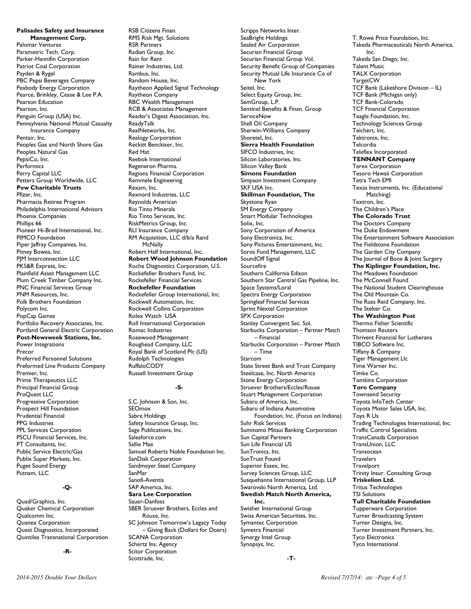**Palisades Safety and Insurance Management Corp.**  Palomar Ventures Parametric Tech. Corp. Parker-Hannifin Corporation Patriot Coal Corporation Payden & Rygel PBC Pepsi Beverages Company Peabody Energy Corporation Pearce, Brinkley, Cease & Lee P.A. Pearson Education Pearson, Inc. Penguin Group (USA) Inc. Pennsylvania National Mutual Casualty Insurance Company Pentair, Inc. Peoples Gas and North Shore Gas Peoples Natural Gas PepsiCo, Inc. Performics Perry Capital LLC Petters Group Worldwide, LLC **Pew Charitable Trusts**  Pfizer, Inc. Pharmacia Retiree Program Philadelphia International Advisors Phoenix Companies Phillips 66 Pioneer Hi-Bred International, Inc. PIMCO Foundation Piper Jaffray Companies, Inc. Pitney Bowes, Inc. PJM Interconnection LLC PKS&R Express, Inc. Plainfield Asset Management LLC Plum Creek Timber Company Inc. PNC Financial Services Group PNM Resources, Inc. Polk Brothers Foundation Polycom Inc. PopCap Games Portfolio Recovery Associates, Inc. Portland General Electric Corporation **Post-Newsweek Stations, Inc.**  Power Integrations Precor Preferred Personnel Solutions Preformed Line Products Company Premier, Inc. Prime Therapeutics LLC Principal Financial Group ProQuest LLC Progressive Corporation Prospect Hill Foundation Prudential Financial PPG Industries PPL Services Corporation PSCU Financial Services, Inc. PT Consultants, Inc. Public Service Electric/Gas Publix Super Markets, Inc. Puget Sound Energy Putnam, LLC

# **-Q-**

Quad/Graphics, Inc. Quaker Chemical Corporation Qualcomm Inc. Quanex Corporation Quest Diagnostics, Incorporated Quintiles Transnational Corporation

**-R-**

RSB Citizens Finan. RMS Risk Mgt. Solutions RSR Partners Radian Group, Inc. Rain for Rent Rainer Industries, Ltd. Rambus, Inc. Random House, Inc. Raytheon Applied Signal Technology Raytheon Company RBC Wealth Management RCB & Associates Management Reader's Digest Association, Inc. ReadyTalk RealNetworks, Inc. Realogy Corporation Reckitt Benckiser, Inc. Red Hat Reebok International Regeneron Pharma. Regions Financial Corporation Remmele Engineering Rexam, Inc. Rexnord Industries, LLC Reynolds American Rio Tinto Minerals Rio Tinto Services, Inc. RiskMetrics Group, Inc. RLI Insurance Company RM Acquisition, LLC d/b/a Rand **McNally** Robert Half International, Inc. **Robert Wood Johnson Foundation**  Roche Diagnostics Corporation, U.S. Rockefeller Brothers Fund, Inc. Rockefeller Financial Services **Rockefeller Foundation**  Rockefeller Group International, Inc. Rockwell Automation, Inc. Rockwell Collins Corporation Rolex Watch USA Roll International Corporation Romac Industries Rosewood Management Roughead Company, LLC Royal Bank of Scotland Plc (US) Rudolph Technologies RuffaloCODY Russell Investment Group **-S-**S.C. Johnson & Son, Inc. SEOmox

Sabre Holdings Safety Insurance Group, Inc. Sage Publications, Inc. Salesforce.com Sallie Mae Samuel Roberts Noble Foundation Inc. SanDisk Corporation Sandmeyer Steel Company SanMar Sanofi-Aventis SAP America, Inc. **Sara Lee Corporation**  Sauer-Danfoss SBER Struever Brothers, Eccles and Rouse, Inc. SC Johnson Tomorrow's Legacy Today – Giving Back (Dollars for Doers) SCANA Corporation Schertz Ins. Agency Scitor Corporation Scottrade, Inc.

Scripps Networks Inter. SeaBright Holdings Sealed Air Corporation Securian Financial Group Securian Financial Group Vol. Security Benefit Group of Companies Security Mutual Life Insurance Co of New York Seitel, Inc. Select Equity Group, Inc. SemGroup, L.P. Sentinel Benefits & Finan. Group **ServiceNow** Shell Oil Company Sherwin-Williams Company Shoretel, Inc. **Sierra Health Foundation**  SIFCO Industries, Inc. Silicon Laboratories, Inc. Silicon Valley Bank **Simons Foundation**  Simpson Investment Company SKF USA Inc. **Skillman Foundation, The**  Skystone Ryan SM Energy Company Smart Modular Technologies Solix, Inc. Sony Corporation of America Sony Electronics, Inc. Sony Pictures Entertainment, Inc. Soros Fund Management, LLC SoundOff Signal Sourcefire Southern California Edison Southern Star Central Gas Pipeline, Inc. Space Systems/Loral Spectra Energy Corporation Springleaf Financial Services Sprint Nextel Corporation SPX Corporation Stanley Convergent Sec. Sol. Starbucks Corporation – Partner Match – Financial Starbucks Corporation – Partner Match – Time Starcom State Street Bank and Trust Company Steelcase, Inc. North America Stone Energy Corporation Struever Brothers/Eccles/Rouse Stuart Management Corporation Subaru of America, Inc. Subaru of Indiana Automotive Foundation, Inc. (Focus on Indiana) Suhr Risk Services Sumitomo Mitsui Banking Corporation Sun Capital Partners Sun Life Financial US SunTronics, Inc. SunTrust Found Superior Essex, Inc. Survey Sciences Group, LLC Susquehanna International Group, LLP Swarovski North America, Ltd. **Swedish Match North America, Inc.**  Swisher International Group Swiss American Securities, Inc.

Symantec Corporation Symetra Financial Synergy Intel Group Synopsys, Inc.

TCF Bank-Colorado TCF Financial Corporation Teagle Foundation, Inc. Technology Sciences Group Teichert, Inc. Tektronix, Inc. Telcordia Teleflex Incorporated **TENNANT Company**  Terex Corporation Tesoro Hawaii Corporation Tetra Tech EMI Texas Instruments, Inc. (Educational Matching) Textron, Inc. The Children's Place **The Colorado Trust**  The Doctors Company The Duke Endowment The Entertainment Software Association The Fieldstone Foundation The Garden City Company The Journal of Bone & Joint Surgery **The Kiplinger Foundation, Inc.**  The Meadows Foundation The McConnell Found The National Student Clearinghouse The Old Mountain Co. The Russ Reid Company, Inc. The Stelter Co. **The Washington Post**  Thermo Fisher Scientific Thomson Reuters Thrivent Financial for Lutherans TIBCO Software Inc. Tiffany & Company Tiger Management Llc Time Warner Inc. Timke Co. Tomkins Corporation **Toro Company**  Townsend Security Toyota InfoTech Center Toyota Motor Sales USA, Inc. Toys R Us Trading Technologies International, Inc. Traffic Control Specialists TransCanada Corporation TransUnion, LLC **Transocean Travelers Travelport** Trinity Insur. Consulting Group **Triskelion Ltd.**  Tritus Technologies TSI Solutions **Tull Charitable Foundation**  Tupperware Corporation Turner Broadcasting System Turner Designs, Inc. Turner Investment Partners, Inc. Tyco Electronics

T. Rowe Price Foundation, Inc. Takeda Pharmaceuticals North America,

TCF Bank (Lakeshore Division – IL) TCF Bank (Michigan only)

Inc. Takeda San Diego, Inc. Talent Music TALX Corporation TargetCW

*2014-2015 Double Your Dollars Revised 7/17/14: atc –Page 4 of 5*

Tyco International